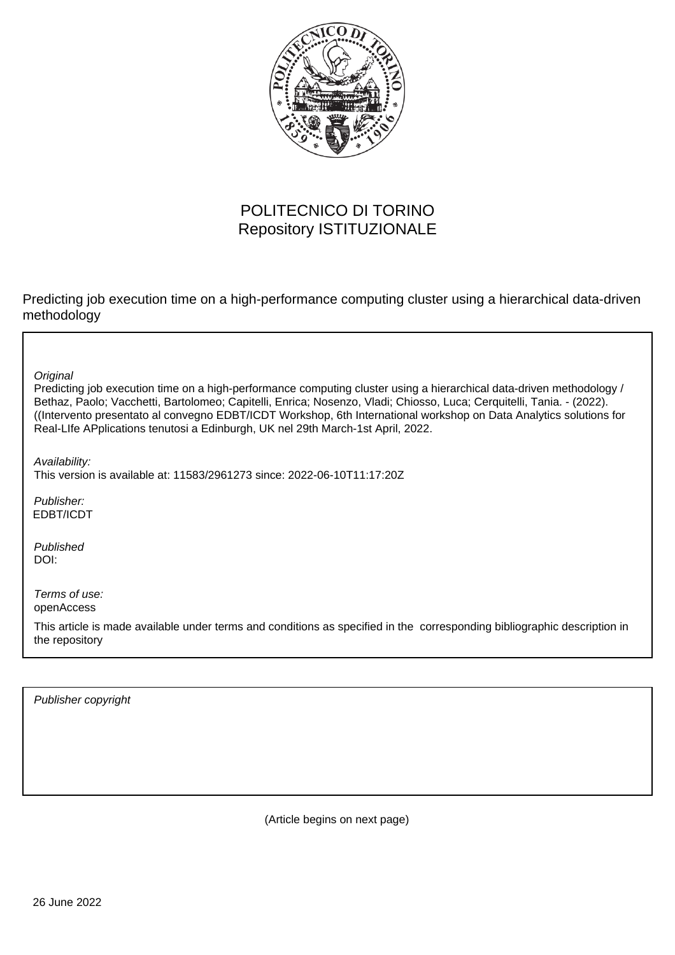

# POLITECNICO DI TORINO Repository ISTITUZIONALE

Predicting job execution time on a high-performance computing cluster using a hierarchical data-driven methodology

**Original** 

Predicting job execution time on a high-performance computing cluster using a hierarchical data-driven methodology / Bethaz, Paolo; Vacchetti, Bartolomeo; Capitelli, Enrica; Nosenzo, Vladi; Chiosso, Luca; Cerquitelli, Tania. - (2022). ((Intervento presentato al convegno EDBT/ICDT Workshop, 6th International workshop on Data Analytics solutions for Real-LIfe APplications tenutosi a Edinburgh, UK nel 29th March-1st April, 2022.

Availability:

This version is available at: 11583/2961273 since: 2022-06-10T11:17:20Z

Publisher: EDBT/ICDT

Published DOI:

Terms of use: openAccess

This article is made available under terms and conditions as specified in the corresponding bibliographic description in the repository

Publisher copyright

(Article begins on next page)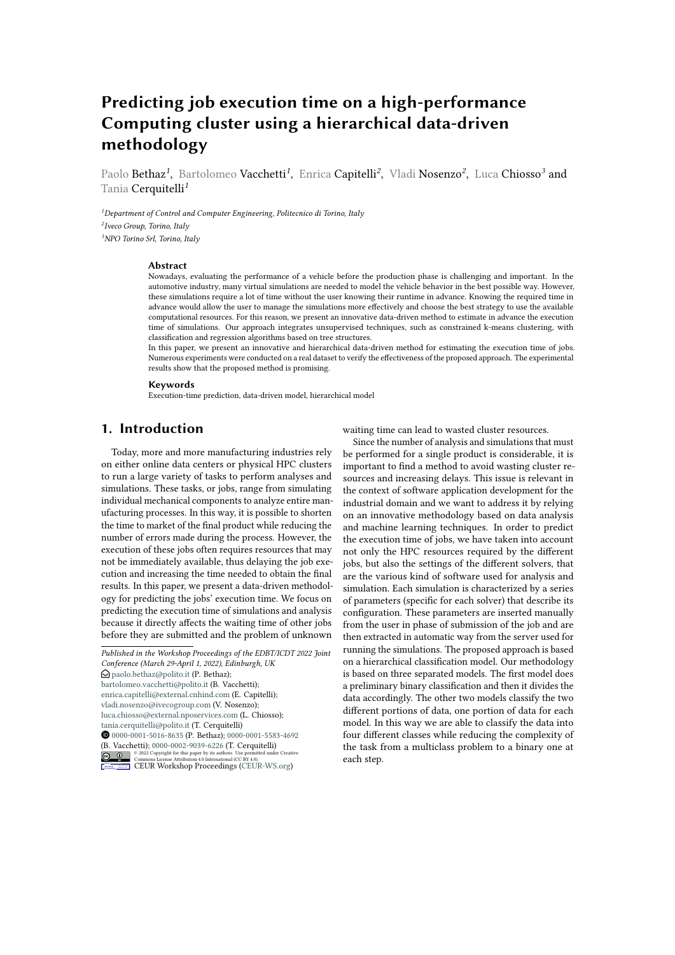# **Predicting job execution time on a high-performance Computing cluster using a hierarchical data-driven methodology**

Paolo Bethaz*<sup>1</sup>* , Bartolomeo Vacchetti*<sup>1</sup>* , Enrica Capitelli*<sup>2</sup>* , Vladi Nosenzo*<sup>2</sup>* , Luca Chiosso*<sup>3</sup>* and Tania Cerquitelli*<sup>1</sup>*

*<sup>1</sup>Department of Control and Computer Engineering, Politecnico di Torino, Italy 2 Iveco Group, Torino, Italy <sup>3</sup>NPO Torino Srl, Torino, Italy*

#### **Abstract**

Nowadays, evaluating the performance of a vehicle before the production phase is challenging and important. In the automotive industry, many virtual simulations are needed to model the vehicle behavior in the best possible way. However, these simulations require a lot of time without the user knowing their runtime in advance. Knowing the required time in advance would allow the user to manage the simulations more effectively and choose the best strategy to use the available computational resources. For this reason, we present an innovative data-driven method to estimate in advance the execution time of simulations. Our approach integrates unsupervised techniques, such as constrained k-means clustering, with classification and regression algorithms based on tree structures.

In this paper, we present an innovative and hierarchical data-driven method for estimating the execution time of jobs. Numerous experiments were conducted on a real dataset to verify the effectiveness of the proposed approach. The experimental results show that the proposed method is promising.

#### **Keywords**

Execution-time prediction, data-driven model, hierarchical model

## **1. Introduction**

Today, more and more manufacturing industries rely on either online data centers or physical HPC clusters to run a large variety of tasks to perform analyses and simulations. These tasks, or jobs, range from simulating individual mechanical components to analyze entire manufacturing processes. In this way, it is possible to shorten the time to market of the final product while reducing the number of errors made during the process. However, the execution of these jobs often requires resources that may not be immediately available, thus delaying the job execution and increasing the time needed to obtain the final results. In this paper, we present a data-driven methodology for predicting the jobs' execution time. We focus on predicting the execution time of simulations and analysis because it directly affects the waiting time of other jobs before they are submitted and the problem of unknown

*Published in the Workshop Proceedings of the EDBT/ICDT 2022 Joint Conference (March 29-April 1, 2022), Edinburgh, UK*  $\bigcirc$  [paolo.bethaz@polito.it](mailto:paolo.bethaz@polito.it) (P. Bethaz); [bartolomeo.vacchetti@polito.it](mailto:bartolomeo.vacchetti@polito.it) (B. Vacchetti); [enrica.capitelli@external.cnhind.com](mailto:enrica.capitelli@external.cnhind.com) (E. Capitelli); [vladi.nosenzo@ivecogroup.com](mailto:vladi.nosenzo@ivecogroup.com) (V. Nosenzo); [luca.chiosso@external.nposervices.com](mailto:luca.chiosso@external.nposervices.com) (L. Chiosso); [tania.cerquitelli@polito.it](mailto:tania.cerquitelli@polito.it) (T. Cerquitelli) [0000-0001-5016-8635](https://orcid.org/0000-0001-5016-8635) (P. Bethaz); [0000-0001-5583-4692](https://orcid.org/0000-0001-5583-4692) (B. Vacchetti); [0000-0002-9039-6226](https://orcid.org/0000-0002-9039-6226) (T. Cerquitelli) **EDURY SECURY SECURY SECURY SECURY SECURY SECURY SECURY SECURY SECURY SECURY SECURY SECURY SECURY SECURY SECURY SECURY SECURY SECURY SECURY SECURY SECURY SECURY SECURY SECURY SECURY SECURY SECURY SECURY SECURY SECURY SECUR** 

waiting time can lead to wasted cluster resources.

Since the number of analysis and simulations that must be performed for a single product is considerable, it is important to find a method to avoid wasting cluster resources and increasing delays. This issue is relevant in the context of software application development for the industrial domain and we want to address it by relying on an innovative methodology based on data analysis and machine learning techniques. In order to predict the execution time of jobs, we have taken into account not only the HPC resources required by the different jobs, but also the settings of the different solvers, that are the various kind of software used for analysis and simulation. Each simulation is characterized by a series of parameters (specific for each solver) that describe its configuration. These parameters are inserted manually from the user in phase of submission of the job and are then extracted in automatic way from the server used for running the simulations. The proposed approach is based on a hierarchical classification model. Our methodology is based on three separated models. The first model does a preliminary binary classification and then it divides the data accordingly. The other two models classify the two different portions of data, one portion of data for each model. In this way we are able to classify the data into four different classes while reducing the complexity of the task from a multiclass problem to a binary one at each step.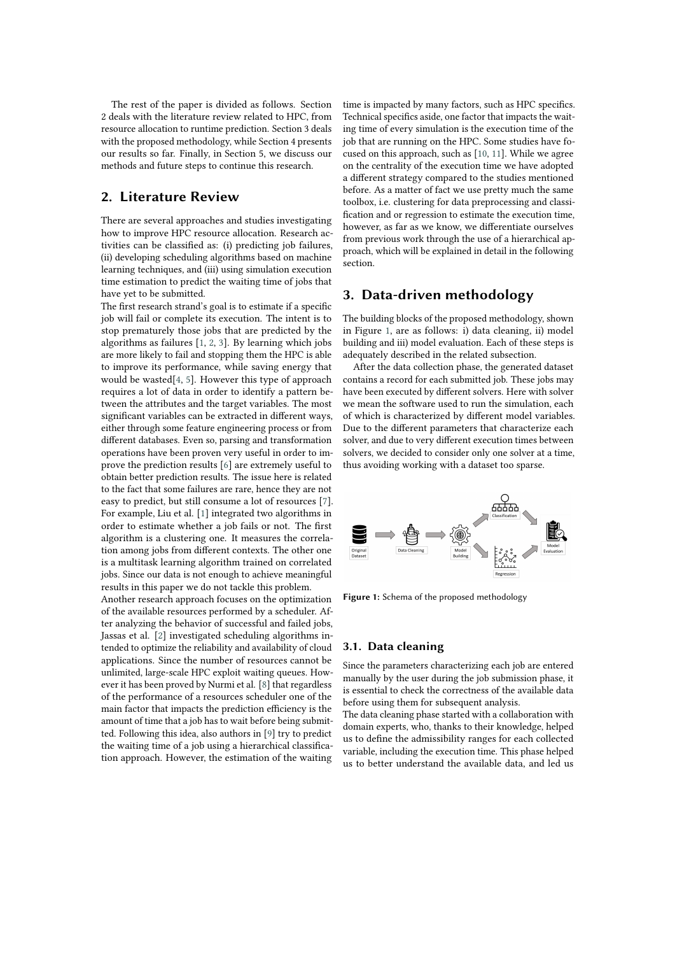The rest of the paper is divided as follows. Section 2 deals with the literature review related to HPC, from resource allocation to runtime prediction. Section 3 deals with the proposed methodology, while Section 4 presents our results so far. Finally, in Section 5, we discuss our methods and future steps to continue this research.

## **2. Literature Review**

There are several approaches and studies investigating how to improve HPC resource allocation. Research activities can be classified as: (i) predicting job failures, (ii) developing scheduling algorithms based on machine learning techniques, and (iii) using simulation execution time estimation to predict the waiting time of jobs that have yet to be submitted.

The first research strand's goal is to estimate if a specific job will fail or complete its execution. The intent is to stop prematurely those jobs that are predicted by the algorithms as failures [1, 2, 3]. By learning which jobs are more likely to fail and stopping them the HPC is able to improve its performance, while saving energy that would be wasted[4, 5]. However this type of approach requires a lot of data in order to identify a pattern between the attributes and the target variables. The most significant variables can be extracted in different ways, either through some feature engineering process or from different databases. Even so, parsing and transformation operations have been proven very useful in order to improve the prediction results [6] are extremely useful to obtain better prediction results. The issue here is related to the fact that some failures are rare, hence they are not easy to predict, but still consume a lot of resources [7]. For example, Liu et al. [1] integrated two algorithms in order to estimate whether a job fails or not. The first algorithm is a clustering one. It measures the correlation among jobs from different contexts. The other one is a multitask learning algorithm trained on correlated jobs. Since our data is not enough to achieve meaningful results in this paper we do not tackle this problem.

Another research approach focuses on the optimization of the available resources performed by a scheduler. After analyzing the behavior of successful and failed jobs, Jassas et al. [2] investigated scheduling algorithms intended to optimize the reliability and availability of cloud applications. Since the number of resources cannot be unlimited, large-scale HPC exploit waiting queues. However it has been proved by Nurmi et al. [8] that regardless of the performance of a resources scheduler one of the main factor that impacts the prediction efficiency is the amount of time that a job has to wait before being submitted. Following this idea, also authors in [9] try to predict the waiting time of a job using a hierarchical classification approach. However, the estimation of the waiting

time is impacted by many factors, such as HPC specifics. Technical specifics aside, one factor that impacts the waiting time of every simulation is the execution time of the job that are running on the HPC. Some studies have focused on this approach, such as [10, 11]. While we agree on the centrality of the execution time we have adopted a different strategy compared to the studies mentioned before. As a matter of fact we use pretty much the same toolbox, i.e. clustering for data preprocessing and classification and or regression to estimate the execution time, however, as far as we know, we differentiate ourselves from previous work through the use of a hierarchical approach, which will be explained in detail in the following section.

### **3. Data-driven methodology**

The building blocks of the proposed methodology, shown in Figure 1, are as follows: i) data cleaning, ii) model building and iii) model evaluation. Each of these steps is adequately described in the related subsection.

After the data collection phase, the generated dataset contains a record for each submitted job. These jobs may have been executed by different solvers. Here with solver we mean the software used to run the simulation, each of which is characterized by different model variables. Due to the different parameters that characterize each solver, and due to very different execution times between solvers, we decided to consider only one solver at a time, thus avoiding working with a dataset too sparse.



**Figure 1:** Schema of the proposed methodology

### **3.1. Data cleaning**

Since the parameters characterizing each job are entered manually by the user during the job submission phase, it is essential to check the correctness of the available data before using them for subsequent analysis.

The data cleaning phase started with a collaboration with domain experts, who, thanks to their knowledge, helped us to define the admissibility ranges for each collected variable, including the execution time. This phase helped us to better understand the available data, and led us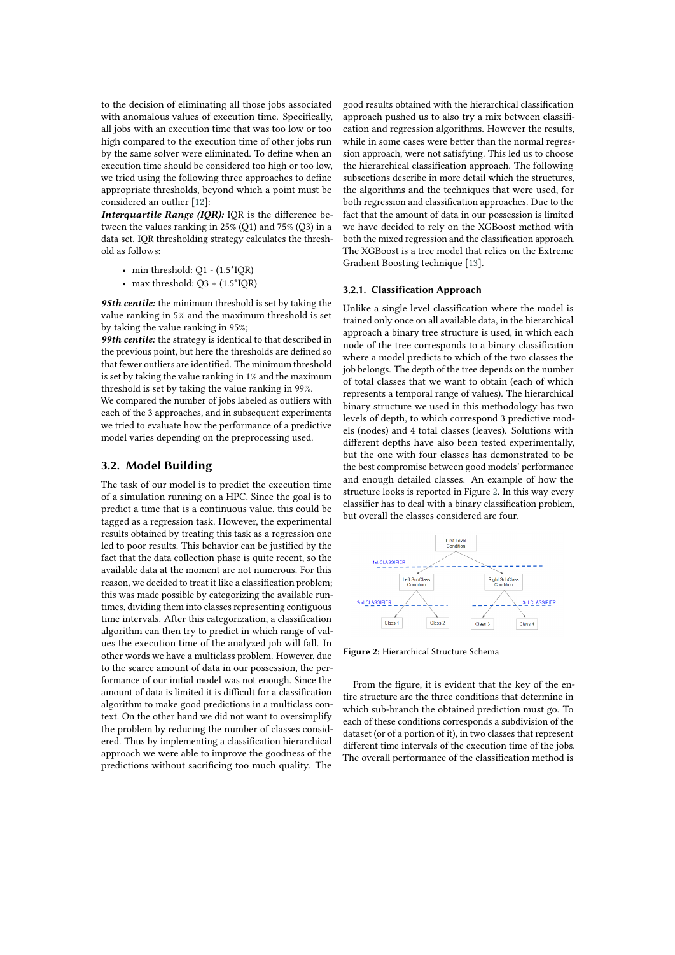to the decision of eliminating all those jobs associated with anomalous values of execution time. Specifically, all jobs with an execution time that was too low or too high compared to the execution time of other jobs run by the same solver were eliminated. To define when an execution time should be considered too high or too low, we tried using the following three approaches to define appropriate thresholds, beyond which a point must be considered an outlier [12]:

*Interquartile Range (IQR):* IQR is the difference between the values ranking in 25% (Q1) and 75% (Q3) in a data set. IQR thresholding strategy calculates the threshold as follows:

- min threshold:  $O1 (1.5^*IOR)$
- max threshold:  $O3 + (1.5 * IOR)$

*95th centile:* the minimum threshold is set by taking the value ranking in 5% and the maximum threshold is set by taking the value ranking in 95%;

*99th centile:* the strategy is identical to that described in the previous point, but here the thresholds are defined so that fewer outliers are identified. The minimum threshold is set by taking the value ranking in 1% and the maximum threshold is set by taking the value ranking in 99%.

We compared the number of jobs labeled as outliers with each of the 3 approaches, and in subsequent experiments we tried to evaluate how the performance of a predictive model varies depending on the preprocessing used.

### **3.2. Model Building**

The task of our model is to predict the execution time of a simulation running on a HPC. Since the goal is to predict a time that is a continuous value, this could be tagged as a regression task. However, the experimental results obtained by treating this task as a regression one led to poor results. This behavior can be justified by the fact that the data collection phase is quite recent, so the available data at the moment are not numerous. For this reason, we decided to treat it like a classification problem; this was made possible by categorizing the available runtimes, dividing them into classes representing contiguous time intervals. After this categorization, a classification algorithm can then try to predict in which range of values the execution time of the analyzed job will fall. In other words we have a multiclass problem. However, due to the scarce amount of data in our possession, the performance of our initial model was not enough. Since the amount of data is limited it is difficult for a classification algorithm to make good predictions in a multiclass context. On the other hand we did not want to oversimplify the problem by reducing the number of classes considered. Thus by implementing a classification hierarchical approach we were able to improve the goodness of the predictions without sacrificing too much quality. The

good results obtained with the hierarchical classification approach pushed us to also try a mix between classification and regression algorithms. However the results, while in some cases were better than the normal regression approach, were not satisfying. This led us to choose the hierarchical classification approach. The following subsections describe in more detail which the structures, the algorithms and the techniques that were used, for both regression and classification approaches. Due to the fact that the amount of data in our possession is limited we have decided to rely on the XGBoost method with both the mixed regression and the classification approach. The XGBoost is a tree model that relies on the Extreme Gradient Boosting technique [13].

#### **3.2.1. Classification Approach**

Unlike a single level classification where the model is trained only once on all available data, in the hierarchical approach a binary tree structure is used, in which each node of the tree corresponds to a binary classification where a model predicts to which of the two classes the job belongs. The depth of the tree depends on the number of total classes that we want to obtain (each of which represents a temporal range of values). The hierarchical binary structure we used in this methodology has two levels of depth, to which correspond 3 predictive models (nodes) and 4 total classes (leaves). Solutions with different depths have also been tested experimentally, but the one with four classes has demonstrated to be the best compromise between good models' performance and enough detailed classes. An example of how the structure looks is reported in Figure 2. In this way every classifier has to deal with a binary classification problem, but overall the classes considered are four.



**Figure 2:** Hierarchical Structure Schema

From the figure, it is evident that the key of the entire structure are the three conditions that determine in which sub-branch the obtained prediction must go. To each of these conditions corresponds a subdivision of the dataset (or of a portion of it), in two classes that represent different time intervals of the execution time of the jobs. The overall performance of the classification method is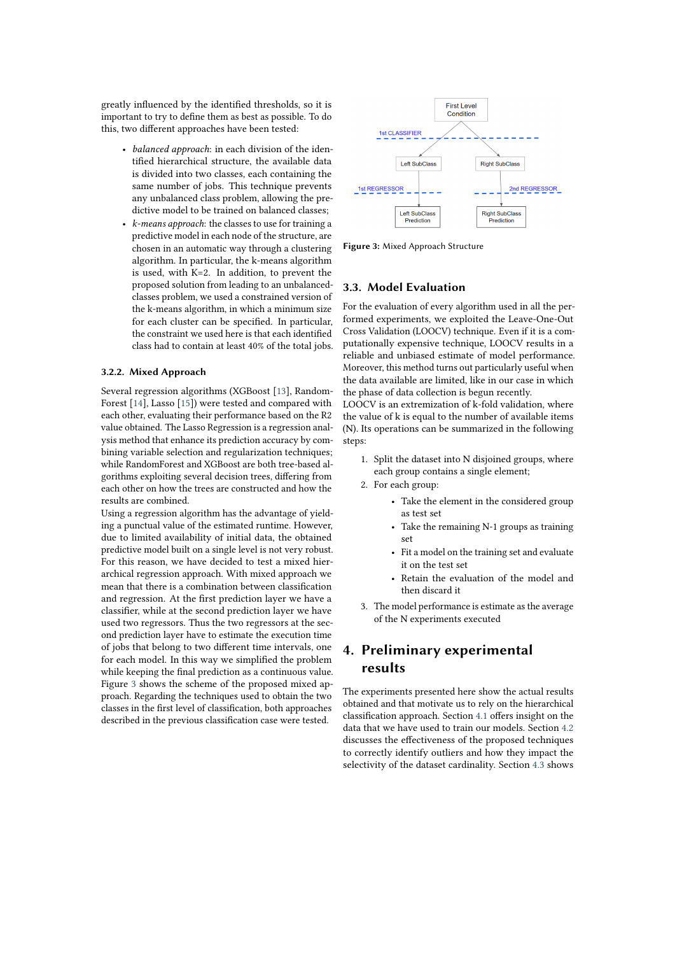greatly influenced by the identified thresholds, so it is important to try to define them as best as possible. To do this, two different approaches have been tested:

- *balanced approach*: in each division of the identified hierarchical structure, the available data is divided into two classes, each containing the same number of jobs. This technique prevents any unbalanced class problem, allowing the predictive model to be trained on balanced classes;
- *k-means approach*: the classes to use for training a predictive model in each node of the structure, are chosen in an automatic way through a clustering algorithm. In particular, the k-means algorithm is used, with K=2. In addition, to prevent the proposed solution from leading to an unbalancedclasses problem, we used a constrained version of the k-means algorithm, in which a minimum size for each cluster can be specified. In particular, the constraint we used here is that each identified class had to contain at least 40% of the total jobs.

#### **3.2.2. Mixed Approach**

Several regression algorithms (XGBoost [13], Random-Forest [14], Lasso [15]) were tested and compared with each other, evaluating their performance based on the R2 value obtained. The Lasso Regression is a regression analysis method that enhance its prediction accuracy by combining variable selection and regularization techniques; while RandomForest and XGBoost are both tree-based algorithms exploiting several decision trees, differing from each other on how the trees are constructed and how the results are combined.

Using a regression algorithm has the advantage of yielding a punctual value of the estimated runtime. However, due to limited availability of initial data, the obtained predictive model built on a single level is not very robust. For this reason, we have decided to test a mixed hierarchical regression approach. With mixed approach we mean that there is a combination between classification and regression. At the first prediction layer we have a classifier, while at the second prediction layer we have used two regressors. Thus the two regressors at the second prediction layer have to estimate the execution time of jobs that belong to two different time intervals, one for each model. In this way we simplified the problem while keeping the final prediction as a continuous value. Figure 3 shows the scheme of the proposed mixed approach. Regarding the techniques used to obtain the two classes in the first level of classification, both approaches described in the previous classification case were tested.



**Figure 3:** Mixed Approach Structure

### **3.3. Model Evaluation**

For the evaluation of every algorithm used in all the performed experiments, we exploited the Leave-One-Out Cross Validation (LOOCV) technique. Even if it is a computationally expensive technique, LOOCV results in a reliable and unbiased estimate of model performance. Moreover, this method turns out particularly useful when the data available are limited, like in our case in which the phase of data collection is begun recently.

LOOCV is an extremization of k-fold validation, where the value of k is equal to the number of available items (N). Its operations can be summarized in the following steps:

- 1. Split the dataset into N disjoined groups, where each group contains a single element;
- 2. For each group:
	- Take the element in the considered group as test set
	- Take the remaining N-1 groups as training set
	- Fit a model on the training set and evaluate it on the test set
	- Retain the evaluation of the model and then discard it
- 3. The model performance is estimate as the average of the N experiments executed

# **4. Preliminary experimental results**

The experiments presented here show the actual results obtained and that motivate us to rely on the hierarchical classification approach. Section 4.1 offers insight on the data that we have used to train our models. Section 4.2 discusses the effectiveness of the proposed techniques to correctly identify outliers and how they impact the selectivity of the dataset cardinality. Section 4.3 shows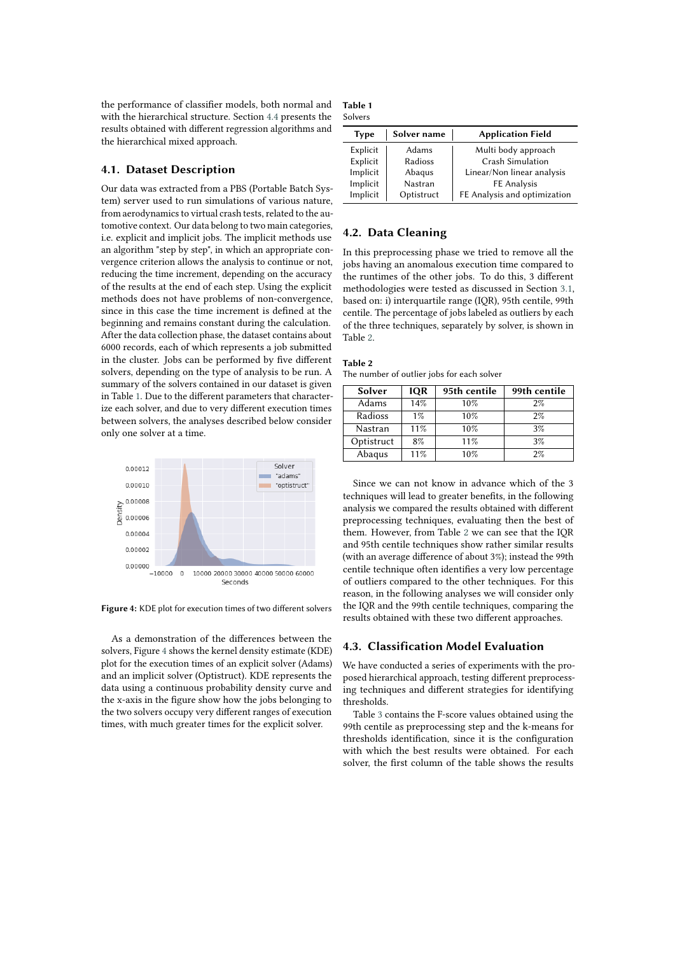the performance of classifier models, both normal and with the hierarchical structure. Section 4.4 presents the results obtained with different regression algorithms and the hierarchical mixed approach.

#### **4.1. Dataset Description**

Our data was extracted from a PBS (Portable Batch System) server used to run simulations of various nature, from aerodynamics to virtual crash tests, related to the automotive context. Our data belong to two main categories, i.e. explicit and implicit jobs. The implicit methods use an algorithm "step by step", in which an appropriate convergence criterion allows the analysis to continue or not, reducing the time increment, depending on the accuracy of the results at the end of each step. Using the explicit methods does not have problems of non-convergence, since in this case the time increment is defined at the beginning and remains constant during the calculation. After the data collection phase, the dataset contains about 6000 records, each of which represents a job submitted in the cluster. Jobs can be performed by five different solvers, depending on the type of analysis to be run. A summary of the solvers contained in our dataset is given in Table 1. Due to the different parameters that characterize each solver, and due to very different execution times between solvers, the analyses described below consider only one solver at a time.



**Figure 4:** KDE plot for execution times of two different solvers

As a demonstration of the differences between the solvers, Figure 4 shows the kernel density estimate (KDE) plot for the execution times of an explicit solver (Adams) and an implicit solver (Optistruct). KDE represents the data using a continuous probability density curve and the x-axis in the figure show how the jobs belonging to the two solvers occupy very different ranges of execution times, with much greater times for the explicit solver.

| Table 1 |  |
|---------|--|
| Solvers |  |

| Type     | Solver name | <b>Application Field</b>     |
|----------|-------------|------------------------------|
| Explicit | Adams       | Multi body approach          |
| Explicit | Radioss     | Crash Simulation             |
| Implicit | Abaqus      | Linear/Non linear analysis   |
| Implicit | Nastran     | FE Analysis                  |
| Implicit | Optistruct  | FE Analysis and optimization |

#### **4.2. Data Cleaning**

In this preprocessing phase we tried to remove all the jobs having an anomalous execution time compared to the runtimes of the other jobs. To do this, 3 different methodologies were tested as discussed in Section 3.1, based on: i) interquartile range (IQR), 95th centile, 99th centile. The percentage of jobs labeled as outliers by each of the three techniques, separately by solver, is shown in Table 2.

| Table 2                                    |  |
|--------------------------------------------|--|
| The number of outlier jobs for each solver |  |

| Solver     | <b>IQR</b> | 95th centile | 99th centile |
|------------|------------|--------------|--------------|
| Adams      | 14%        | 10%          | 2%           |
| Radioss    | $1\%$      | 10%          | 2%           |
| Nastran    | 11%        | 10%          | 3%           |
| Optistruct | 8%         | 11%          | 3%           |
| Abaqus     | 11%        | 10%          | $2\%$        |

Since we can not know in advance which of the 3 techniques will lead to greater benefits, in the following analysis we compared the results obtained with different preprocessing techniques, evaluating then the best of them. However, from Table 2 we can see that the IQR and 95th centile techniques show rather similar results (with an average difference of about 3%); instead the 99th centile technique often identifies a very low percentage of outliers compared to the other techniques. For this reason, in the following analyses we will consider only the IQR and the 99th centile techniques, comparing the results obtained with these two different approaches.

#### **4.3. Classification Model Evaluation**

We have conducted a series of experiments with the proposed hierarchical approach, testing different preprocessing techniques and different strategies for identifying thresholds.

Table 3 contains the F-score values obtained using the 99th centile as preprocessing step and the k-means for thresholds identification, since it is the configuration with which the best results were obtained. For each solver, the first column of the table shows the results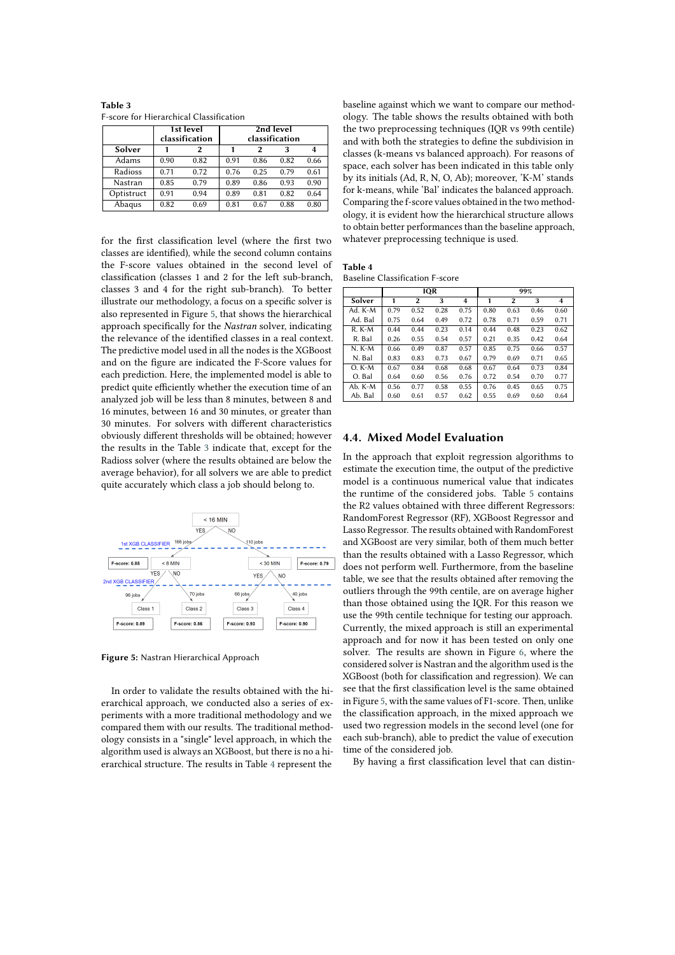| Table 3                                        |  |
|------------------------------------------------|--|
| <b>F-score for Hierarchical Classification</b> |  |

|            | 1st level<br>classification |      |      | classification |      |      |
|------------|-----------------------------|------|------|----------------|------|------|
| Solver     |                             | 2    |      | $\overline{2}$ | 3    | 4    |
| Adams      | 0.90                        | 0.82 | 0.91 | 0.86           | 0.82 | 0.66 |
| Radioss    | 0.71                        | 0.72 | 0.76 | 0.25           | 0.79 | 0.61 |
| Nastran    | 0.85                        | 0.79 | 0.89 | 0.86           | 0.93 | 0.90 |
| Optistruct | 0.91                        | 0.94 | 0.89 | 0.81           | 0.82 | 0.64 |
| Abaqus     | 0.82                        | 0.69 | 0.81 | 0.67           | 0.88 | 0.80 |

for the first classification level (where the first two classes are identified), while the second column contains the F-score values obtained in the second level of classification (classes 1 and 2 for the left sub-branch, classes 3 and 4 for the right sub-branch). To better illustrate our methodology, a focus on a specific solver is also represented in Figure 5, that shows the hierarchical approach specifically for the *Nastran* solver, indicating the relevance of the identified classes in a real context. The predictive model used in all the nodes is the XGBoost and on the figure are indicated the F-Score values for each prediction. Here, the implemented model is able to predict quite efficiently whether the execution time of an analyzed job will be less than 8 minutes, between 8 and 16 minutes, between 16 and 30 minutes, or greater than 30 minutes. For solvers with different characteristics obviously different thresholds will be obtained; however the results in the Table 3 indicate that, except for the Radioss solver (where the results obtained are below the average behavior), for all solvers we are able to predict quite accurately which class a job should belong to.



**Figure 5:** Nastran Hierarchical Approach

In order to validate the results obtained with the hierarchical approach, we conducted also a series of experiments with a more traditional methodology and we compared them with our results. The traditional methodology consists in a "single" level approach, in which the algorithm used is always an XGBoost, but there is no a hierarchical structure. The results in Table 4 represent the

baseline against which we want to compare our methodology. The table shows the results obtained with both the two preprocessing techniques (IQR vs 99th centile) and with both the strategies to define the subdivision in classes (k-means vs balanced approach). For reasons of space, each solver has been indicated in this table only by its initials (Ad, R, N, O, Ab); moreover, 'K-M' stands for k-means, while 'Bal' indicates the balanced approach. Comparing the f-score values obtained in the two methodology, it is evident how the hierarchical structure allows to obtain better performances than the baseline approach, whatever preprocessing technique is used.

**Table 4** Baseline Classification F-score

|          | <b>IQR</b> |                |      | 99%  |      |                |      |      |
|----------|------------|----------------|------|------|------|----------------|------|------|
| Solver   | 1          | $\overline{2}$ | 3    | 4    | 1    | $\overline{2}$ | 3    | 4    |
| Ad. K-M  | 0.79       | 0.52           | 0.28 | 0.75 | 0.80 | 0.63           | 0.46 | 0.60 |
| Ad. Bal  | 0.75       | 0.64           | 0.49 | 0.72 | 0.78 | 0.71           | 0.59 | 0.71 |
| $R. K-M$ | 0.44       | 0.44           | 0.23 | 0.14 | 0.44 | 0.48           | 0.23 | 0.62 |
| R. Bal   | 0.26       | 0.55           | 0.54 | 0.57 | 0.21 | 0.35           | 0.42 | 0.64 |
| N. K-M   | 0.66       | 0.49           | 0.87 | 0.57 | 0.85 | 0.75           | 0.66 | 0.57 |
| N. Bal   | 0.83       | 0.83           | 0.73 | 0.67 | 0.79 | 0.69           | 0.71 | 0.65 |
| $O. K-M$ | 0.67       | 0.84           | 0.68 | 0.68 | 0.67 | 0.64           | 0.73 | 0.84 |
| O. Bal   | 0.64       | 0.60           | 0.56 | 0.76 | 0.72 | 0.54           | 0.70 | 0.77 |
| Ab. K-M  | 0.56       | 0.77           | 0.58 | 0.55 | 0.76 | 0.45           | 0.65 | 0.75 |
| Ab. Bal  | 0.60       | 0.61           | 0.57 | 0.62 | 0.55 | 0.69           | 0.60 | 0.64 |

#### **4.4. Mixed Model Evaluation**

In the approach that exploit regression algorithms to estimate the execution time, the output of the predictive model is a continuous numerical value that indicates the runtime of the considered jobs. Table 5 contains the R2 values obtained with three different Regressors: RandomForest Regressor (RF), XGBoost Regressor and Lasso Regressor. The results obtained with RandomForest and XGBoost are very similar, both of them much better than the results obtained with a Lasso Regressor, which does not perform well. Furthermore, from the baseline table, we see that the results obtained after removing the outliers through the 99th centile, are on average higher than those obtained using the IQR. For this reason we use the 99th centile technique for testing our approach. Currently, the mixed approach is still an experimental approach and for now it has been tested on only one solver. The results are shown in Figure 6, where the considered solver is Nastran and the algorithm used is the XGBoost (both for classification and regression). We can see that the first classification level is the same obtained in Figure 5, with the same values of F1-score. Then, unlike the classification approach, in the mixed approach we used two regression models in the second level (one for each sub-branch), able to predict the value of execution time of the considered job.

By having a first classification level that can distin-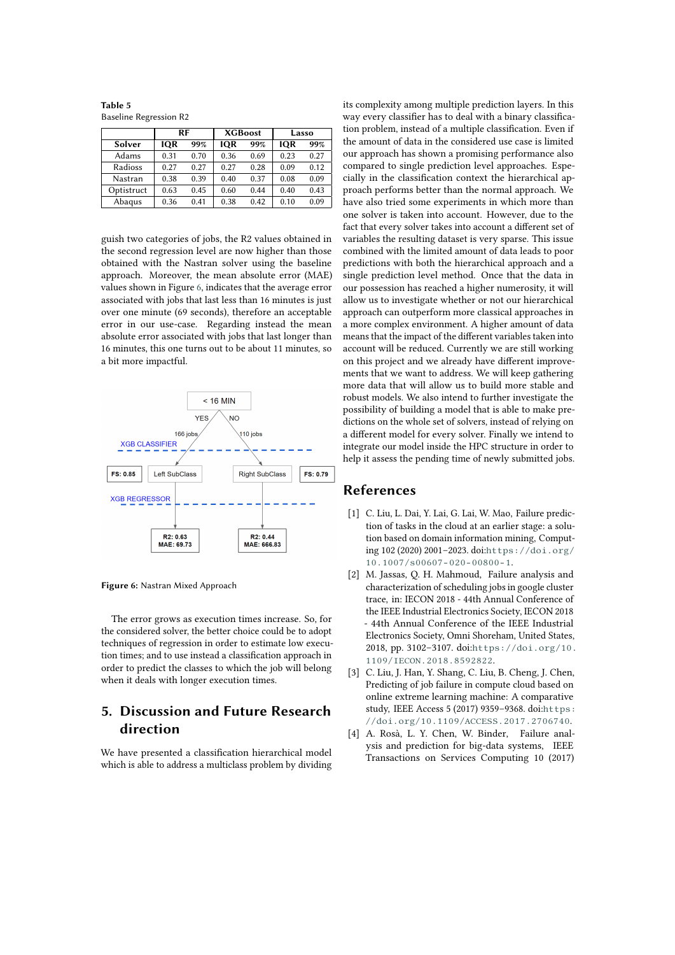**Table 5** Baseline Regression R2

|            | RF         |      | <b>XGBoost</b> |      | Lasso      |      |
|------------|------------|------|----------------|------|------------|------|
| Solver     | <b>IOR</b> | 99%  | <b>IOR</b>     | 99%  | <b>IOR</b> | 99%  |
| Adams      | 0.31       | 0.70 | 0.36           | 0.69 | 0.23       | 0.27 |
| Radioss    | 0.27       | 0.27 | 0.27           | 0.28 | 0.09       | 0.12 |
| Nastran    | 0.38       | 0.39 | 0.40           | 0.37 | 0.08       | 0.09 |
| Optistruct | 0.63       | 0.45 | 0.60           | 0.44 | 0.40       | 0.43 |
| Abagus     | 0.36       | 0.41 | 0.38           | 0.42 | 0.10       | 0.09 |

guish two categories of jobs, the R2 values obtained in the second regression level are now higher than those obtained with the Nastran solver using the baseline approach. Moreover, the mean absolute error (MAE) values shown in Figure 6, indicates that the average error associated with jobs that last less than 16 minutes is just over one minute (69 seconds), therefore an acceptable error in our use-case. Regarding instead the mean absolute error associated with jobs that last longer than 16 minutes, this one turns out to be about 11 minutes, so a bit more impactful.



**Figure 6:** Nastran Mixed Approach

The error grows as execution times increase. So, for the considered solver, the better choice could be to adopt techniques of regression in order to estimate low execution times; and to use instead a classification approach in order to predict the classes to which the job will belong when it deals with longer execution times.

# **5. Discussion and Future Research direction**

We have presented a classification hierarchical model which is able to address a multiclass problem by dividing its complexity among multiple prediction layers. In this way every classifier has to deal with a binary classification problem, instead of a multiple classification. Even if the amount of data in the considered use case is limited our approach has shown a promising performance also compared to single prediction level approaches. Especially in the classification context the hierarchical approach performs better than the normal approach. We have also tried some experiments in which more than one solver is taken into account. However, due to the fact that every solver takes into account a different set of variables the resulting dataset is very sparse. This issue combined with the limited amount of data leads to poor predictions with both the hierarchical approach and a single prediction level method. Once that the data in our possession has reached a higher numerosity, it will allow us to investigate whether or not our hierarchical approach can outperform more classical approaches in a more complex environment. A higher amount of data means that the impact of the different variables taken into account will be reduced. Currently we are still working on this project and we already have different improvements that we want to address. We will keep gathering more data that will allow us to build more stable and robust models. We also intend to further investigate the possibility of building a model that is able to make predictions on the whole set of solvers, instead of relying on a different model for every solver. Finally we intend to integrate our model inside the HPC structure in order to help it assess the pending time of newly submitted jobs.

### **References**

- [1] C. Liu, L. Dai, Y. Lai, G. Lai, W. Mao, Failure prediction of tasks in the cloud at an earlier stage: a solution based on domain information mining, Computing 102 (2020) 2001–2023. doi:[https://doi.org/](http://dx.doi.org/https://doi.org/10.1007/s00607-020-00800-1) [10.1007/s00607-020-00800-1](http://dx.doi.org/https://doi.org/10.1007/s00607-020-00800-1).
- [2] M. Jassas, Q. H. Mahmoud, Failure analysis and characterization of scheduling jobs in google cluster trace, in: IECON 2018 - 44th Annual Conference of the IEEE Industrial Electronics Society, IECON 2018 - 44th Annual Conference of the IEEE Industrial Electronics Society, Omni Shoreham, United States, 2018, pp. 3102–3107. doi:[https://doi.org/10.](http://dx.doi.org/https://doi.org/10.1109/IECON.2018.8592822) [1109/IECON.2018.8592822](http://dx.doi.org/https://doi.org/10.1109/IECON.2018.8592822).
- [3] C. Liu, J. Han, Y. Shang, C. Liu, B. Cheng, J. Chen, Predicting of job failure in compute cloud based on online extreme learning machine: A comparative study, IEEE Access 5 (2017) 9359-9368. doi:[https:](http://dx.doi.org/https://doi.org/10.1109/ACCESS.2017.2706740) [//doi.org/10.1109/ACCESS.2017.2706740](http://dx.doi.org/https://doi.org/10.1109/ACCESS.2017.2706740).
- [4] A. Rosà, L. Y. Chen, W. Binder, Failure analysis and prediction for big-data systems, IEEE Transactions on Services Computing 10 (2017)